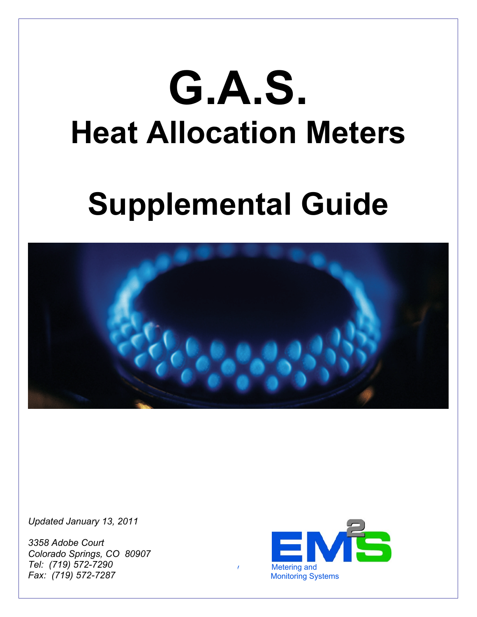# **G.A.S. Heat Allocation Meters**

# **Supplemental Guide**



*Updated January 13, 2011* 

*3358 Adobe Court Colorado Springs, CO 80907 Tel: (719) 572-7290 Fax: (719) 572-7287*

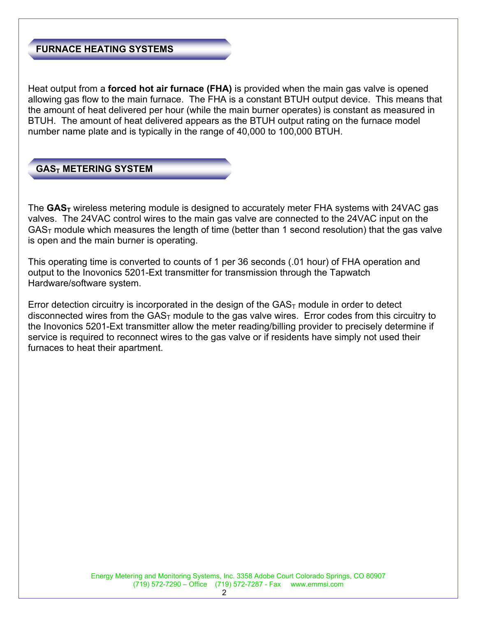#### **FURNACE HEATING SYSTEMS**

Heat output from a **forced hot air furnace (FHA)** is provided when the main gas valve is opened allowing gas flow to the main furnace. The FHA is a constant BTUH output device. This means that the amount of heat delivered per hour (while the main burner operates) is constant as measured in BTUH. The amount of heat delivered appears as the BTUH output rating on the furnace model number name plate and is typically in the range of 40,000 to 100,000 BTUH.

**GAST METERING SYSTEM** 

The **GAS<sub>T</sub>** wireless metering module is designed to accurately meter FHA systems with 24VAC gas valves. The 24VAC control wires to the main gas valve are connected to the 24VAC input on the  $GAS<sub>T</sub>$  module which measures the length of time (better than 1 second resolution) that the gas valve is open and the main burner is operating.

This operating time is converted to counts of 1 per 36 seconds (.01 hour) of FHA operation and output to the Inovonics 5201-Ext transmitter for transmission through the Tapwatch Hardware/software system.

Error detection circuitry is incorporated in the design of the  $GAS<sub>T</sub>$  module in order to detect disconnected wires from the  $GAS<sub>T</sub>$  module to the gas valve wires. Error codes from this circuitry to the Inovonics 5201-Ext transmitter allow the meter reading/billing provider to precisely determine if service is required to reconnect wires to the gas valve or if residents have simply not used their furnaces to heat their apartment.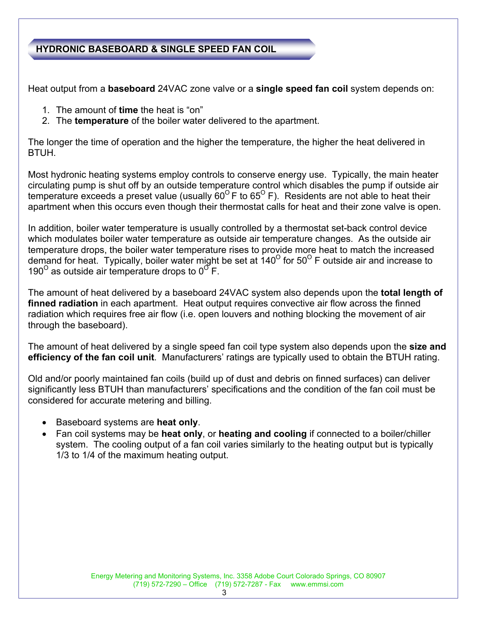## **HYDRONIC BASEBOARD & SINGLE SPEED FAN COIL**

Heat output from a **baseboard** 24VAC zone valve or a **single speed fan coil** system depends on:

- 1. The amount of **time** the heat is "on"
- 2. The **temperature** of the boiler water delivered to the apartment.

The longer the time of operation and the higher the temperature, the higher the heat delivered in BTUH.

Most hydronic heating systems employ controls to conserve energy use. Typically, the main heater circulating pump is shut off by an outside temperature control which disables the pump if outside air temperature exceeds a preset value (usually  $60^{\circ}$  F to  $65^{\circ}$  F). Residents are not able to heat their apartment when this occurs even though their thermostat calls for heat and their zone valve is open.

In addition, boiler water temperature is usually controlled by a thermostat set-back control device which modulates boiler water temperature as outside air temperature changes. As the outside air temperature drops, the boiler water temperature rises to provide more heat to match the increased demand for heat. Typically, boiler water might be set at  $140^{\circ}$  for  $50^{\circ}$  F outside air and increase to 190<sup> $\text{o}$ </sup> as outside air temperature drops to  $0^{\text{o}}$  F.

The amount of heat delivered by a baseboard 24VAC system also depends upon the **total length of finned radiation** in each apartment. Heat output requires convective air flow across the finned radiation which requires free air flow (i.e. open louvers and nothing blocking the movement of air through the baseboard).

The amount of heat delivered by a single speed fan coil type system also depends upon the **size and efficiency of the fan coil unit**. Manufacturers' ratings are typically used to obtain the BTUH rating.

Old and/or poorly maintained fan coils (build up of dust and debris on finned surfaces) can deliver significantly less BTUH than manufacturers' specifications and the condition of the fan coil must be considered for accurate metering and billing.

- Baseboard systems are **heat only**.
- Fan coil systems may be **heat only**, or **heating and cooling** if connected to a boiler/chiller system. The cooling output of a fan coil varies similarly to the heating output but is typically 1/3 to 1/4 of the maximum heating output.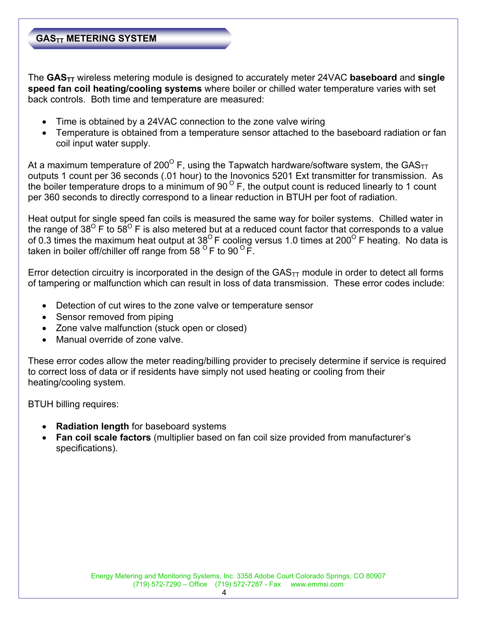# **GASTT METERING SYSTEM**

The **GASTT** wireless metering module is designed to accurately meter 24VAC **baseboard** and **single speed fan coil heating/cooling systems** where boiler or chilled water temperature varies with set back controls. Both time and temperature are measured:

- Time is obtained by a 24VAC connection to the zone valve wiring
- Temperature is obtained from a temperature sensor attached to the baseboard radiation or fan coil input water supply.

At a maximum temperature of 200<sup>°</sup> F, using the Tapwatch hardware/software system, the GAS<sub>TT</sub> outputs 1 count per 36 seconds (.01 hour) to the Inovonics 5201 Ext transmitter for transmission. As the boiler temperature drops to a minimum of 90 $^{\circ}$  F, the output count is reduced linearly to 1 count per 360 seconds to directly correspond to a linear reduction in BTUH per foot of radiation.

Heat output for single speed fan coils is measured the same way for boiler systems. Chilled water in the range of 38<sup>O</sup> F to 58<sup>O</sup> F is also metered but at a reduced count factor that corresponds to a value of 0.3 times the maximum heat output at  $38^{\circ}$  F cooling versus 1.0 times at 200<sup>°</sup> F heating. No data is taken in boiler off/chiller off range from 58  $^{\circ}$  F to 90  $^{\circ}$  F.

Error detection circuitry is incorporated in the design of the  $GAS<sub>TT</sub>$  module in order to detect all forms of tampering or malfunction which can result in loss of data transmission. These error codes include:

- Detection of cut wires to the zone valve or temperature sensor
- Sensor removed from piping
- Zone valve malfunction (stuck open or closed)
- Manual override of zone valve.

These error codes allow the meter reading/billing provider to precisely determine if service is required to correct loss of data or if residents have simply not used heating or cooling from their heating/cooling system.

BTUH billing requires:

- **Radiation length** for baseboard systems
- **Fan coil scale factors** (multiplier based on fan coil size provided from manufacturer's specifications).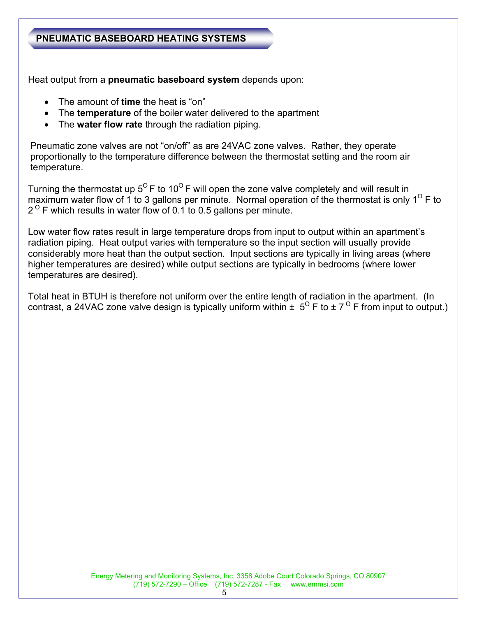#### **PNEUMATIC BASEBOARD HEATING SYSTEMS**

Heat output from a **pneumatic baseboard system** depends upon:

- The amount of **time** the heat is "on"
- The **temperature** of the boiler water delivered to the apartment
- The **water flow rate** through the radiation piping.

Pneumatic zone valves are not "on/off" as are 24VAC zone valves. Rather, they operate proportionally to the temperature difference between the thermostat setting and the room air temperature.

Turning the thermostat up  $5^{\circ}$  F to 10<sup>o</sup> F will open the zone valve completely and will result in maximum water flow of 1 to 3 gallons per minute. Normal operation of the thermostat is only  $1^{\circ}$  F to  $2^{\circ}$  F which results in water flow of 0.1 to 0.5 gallons per minute.

Low water flow rates result in large temperature drops from input to output within an apartment's radiation piping. Heat output varies with temperature so the input section will usually provide considerably more heat than the output section. Input sections are typically in living areas (where higher temperatures are desired) while output sections are typically in bedrooms (where lower temperatures are desired).

Total heat in BTUH is therefore not uniform over the entire length of radiation in the apartment. (In contrast, a 24VAC zone valve design is typically uniform within  $\pm 5^{\circ}$  F to  $\pm 7^{\circ}$  F from input to output.)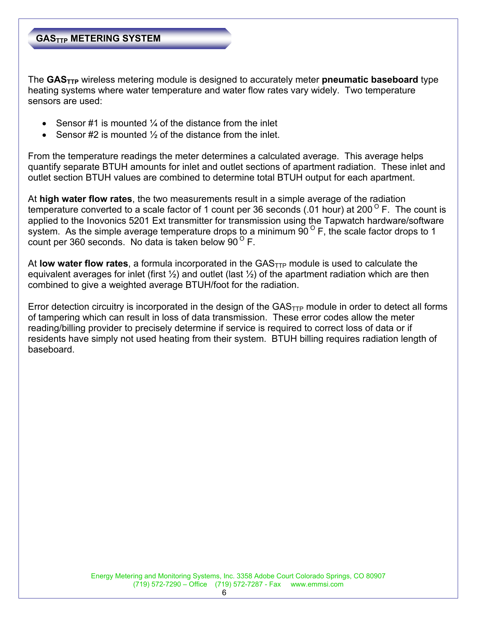#### **GASTTP METERING SYSTEM**

The **GASTTP** wireless metering module is designed to accurately meter **pneumatic baseboard** type heating systems where water temperature and water flow rates vary widely. Two temperature sensors are used:

- Sensor #1 is mounted  $\frac{1}{4}$  of the distance from the inlet
- Sensor #2 is mounted ½ of the distance from the inlet.

From the temperature readings the meter determines a calculated average. This average helps quantify separate BTUH amounts for inlet and outlet sections of apartment radiation. These inlet and outlet section BTUH values are combined to determine total BTUH output for each apartment.

At **high water flow rates**, the two measurements result in a simple average of the radiation temperature converted to a scale factor of 1 count per 36 seconds (.01 hour) at 200<sup>°</sup> F. The count is applied to the Inovonics 5201 Ext transmitter for transmission using the Tapwatch hardware/software system. As the simple average temperature drops to a minimum  $\overline{90}^{\circ}$  F, the scale factor drops to 1 count per 360 seconds. No data is taken below  $90^{\circ}$  F.

At **low water flow rates**, a formula incorporated in the  $GAS<sub>TTP</sub>$  module is used to calculate the equivalent averages for inlet (first  $\frac{1}{2}$ ) and outlet (last  $\frac{1}{2}$ ) of the apartment radiation which are then combined to give a weighted average BTUH/foot for the radiation.

Error detection circuitry is incorporated in the design of the  $GAS<sub>TTP</sub>$  module in order to detect all forms of tampering which can result in loss of data transmission. These error codes allow the meter reading/billing provider to precisely determine if service is required to correct loss of data or if residents have simply not used heating from their system. BTUH billing requires radiation length of baseboard.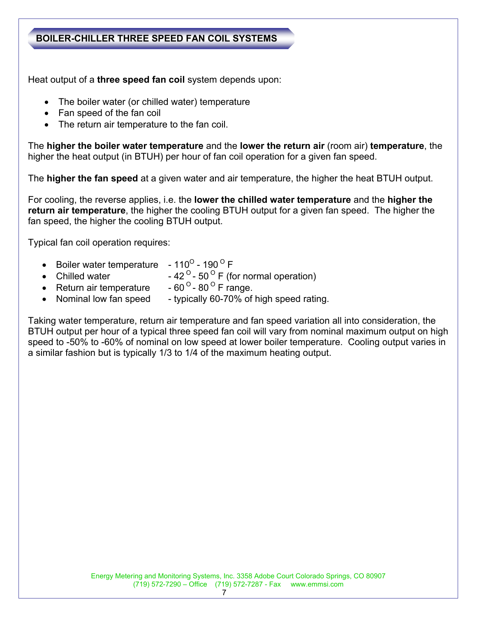### **BOILER-CHILLER THREE SPEED FAN COIL SYSTEMS**

Heat output of a **three speed fan coil** system depends upon:

- The boiler water (or chilled water) temperature
- Fan speed of the fan coil
- The return air temperature to the fan coil.

The **higher the boiler water temperature** and the **lower the return air** (room air) **temperature**, the higher the heat output (in BTUH) per hour of fan coil operation for a given fan speed.

The **higher the fan speed** at a given water and air temperature, the higher the heat BTUH output.

For cooling, the reverse applies, i.e. the **lower the chilled water temperature** and the **higher the return air temperature**, the higher the cooling BTUH output for a given fan speed. The higher the fan speed, the higher the cooling BTUH output.

Typical fan coil operation requires:

- Boiler water temperature  $-110^{\circ}$  190  $^{\circ}$  F
- Chilled water  $-42^{\circ}$  50<sup> $\circ$ </sup> F (for normal operation)<br>• Return air temperature  $-60^{\circ}$  80<sup> $\circ$ </sup> F range.
- Return air temperature
- Nominal low fan speed typically 60-70% of high speed rating.

Taking water temperature, return air temperature and fan speed variation all into consideration, the BTUH output per hour of a typical three speed fan coil will vary from nominal maximum output on high speed to -50% to -60% of nominal on low speed at lower boiler temperature. Cooling output varies in a similar fashion but is typically 1/3 to 1/4 of the maximum heating output.